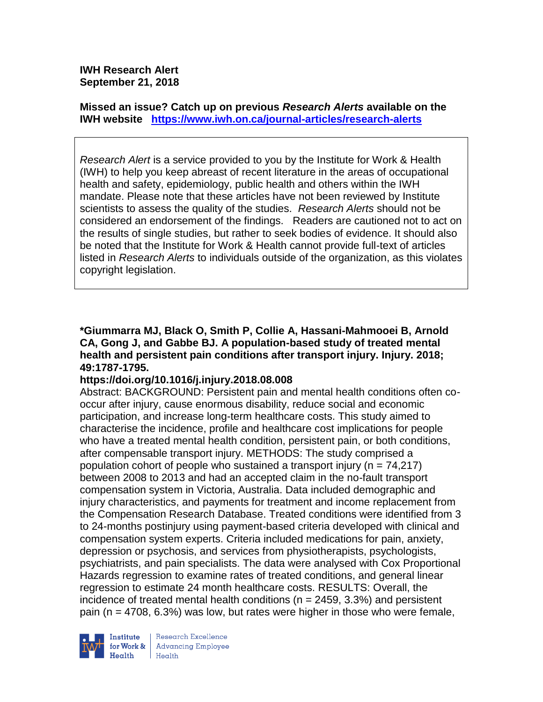**IWH Research Alert September 21, 2018**

**Missed an issue? Catch up on previous** *Research Alerts* **available on the [IWH website](http://www.iwh.on.ca/research-alerts) <https://www.iwh.on.ca/journal-articles/research-alerts>**

*Research Alert* is a service provided to you by the Institute for Work & Health (IWH) to help you keep abreast of recent literature in the areas of occupational health and safety, epidemiology, public health and others within the IWH mandate. Please note that these articles have not been reviewed by Institute scientists to assess the quality of the studies. *Research Alerts* should not be considered an endorsement of the findings. Readers are cautioned not to act on the results of single studies, but rather to seek bodies of evidence. It should also be noted that the Institute for Work & Health cannot provide full-text of articles listed in *Research Alerts* to individuals outside of the organization, as this violates copyright legislation.

**\*Giummarra MJ, Black O, Smith P, Collie A, Hassani-Mahmooei B, Arnold CA, Gong J, and Gabbe BJ. A population-based study of treated mental health and persistent pain conditions after transport injury. Injury. 2018; 49:1787-1795.** 

#### **https://doi.org/10.1016/j.injury.2018.08.008**

Abstract: BACKGROUND: Persistent pain and mental health conditions often cooccur after injury, cause enormous disability, reduce social and economic participation, and increase long-term healthcare costs. This study aimed to characterise the incidence, profile and healthcare cost implications for people who have a treated mental health condition, persistent pain, or both conditions, after compensable transport injury. METHODS: The study comprised a population cohort of people who sustained a transport injury (n = 74,217) between 2008 to 2013 and had an accepted claim in the no-fault transport compensation system in Victoria, Australia. Data included demographic and injury characteristics, and payments for treatment and income replacement from the Compensation Research Database. Treated conditions were identified from 3 to 24-months postinjury using payment-based criteria developed with clinical and compensation system experts. Criteria included medications for pain, anxiety, depression or psychosis, and services from physiotherapists, psychologists, psychiatrists, and pain specialists. The data were analysed with Cox Proportional Hazards regression to examine rates of treated conditions, and general linear regression to estimate 24 month healthcare costs. RESULTS: Overall, the incidence of treated mental health conditions ( $n = 2459, 3.3\%$ ) and persistent pain ( $n = 4708$ , 6.3%) was low, but rates were higher in those who were female,



Research Excellence for Work & | Advancing Employee Health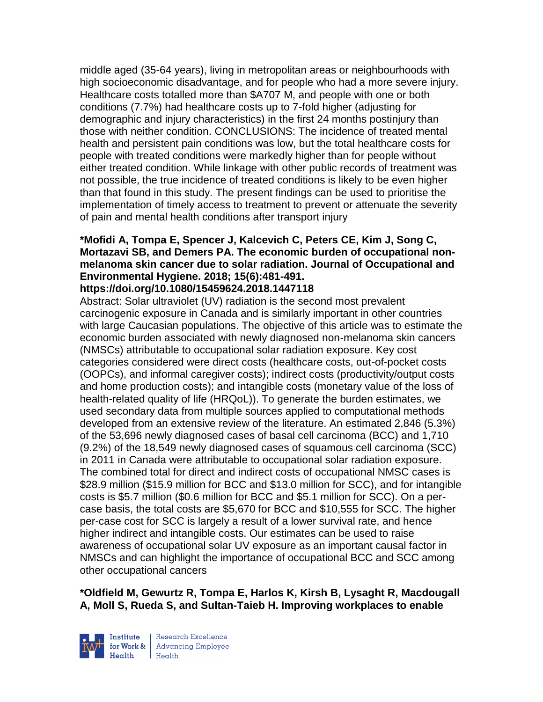middle aged (35-64 years), living in metropolitan areas or neighbourhoods with high socioeconomic disadvantage, and for people who had a more severe injury. Healthcare costs totalled more than \$A707 M, and people with one or both conditions (7.7%) had healthcare costs up to 7-fold higher (adjusting for demographic and injury characteristics) in the first 24 months postinjury than those with neither condition. CONCLUSIONS: The incidence of treated mental health and persistent pain conditions was low, but the total healthcare costs for people with treated conditions were markedly higher than for people without either treated condition. While linkage with other public records of treatment was not possible, the true incidence of treated conditions is likely to be even higher than that found in this study. The present findings can be used to prioritise the implementation of timely access to treatment to prevent or attenuate the severity of pain and mental health conditions after transport injury

# **\*Mofidi A, Tompa E, Spencer J, Kalcevich C, Peters CE, Kim J, Song C, Mortazavi SB, and Demers PA. The economic burden of occupational nonmelanoma skin cancer due to solar radiation. Journal of Occupational and Environmental Hygiene. 2018; 15(6):481-491.**

**https://doi.org/10.1080/15459624.2018.1447118** 

Abstract: Solar ultraviolet (UV) radiation is the second most prevalent carcinogenic exposure in Canada and is similarly important in other countries with large Caucasian populations. The objective of this article was to estimate the economic burden associated with newly diagnosed non-melanoma skin cancers (NMSCs) attributable to occupational solar radiation exposure. Key cost categories considered were direct costs (healthcare costs, out-of-pocket costs (OOPCs), and informal caregiver costs); indirect costs (productivity/output costs and home production costs); and intangible costs (monetary value of the loss of health-related quality of life (HRQoL)). To generate the burden estimates, we used secondary data from multiple sources applied to computational methods developed from an extensive review of the literature. An estimated 2,846 (5.3%) of the 53,696 newly diagnosed cases of basal cell carcinoma (BCC) and 1,710 (9.2%) of the 18,549 newly diagnosed cases of squamous cell carcinoma (SCC) in 2011 in Canada were attributable to occupational solar radiation exposure. The combined total for direct and indirect costs of occupational NMSC cases is \$28.9 million (\$15.9 million for BCC and \$13.0 million for SCC), and for intangible costs is \$5.7 million (\$0.6 million for BCC and \$5.1 million for SCC). On a percase basis, the total costs are \$5,670 for BCC and \$10,555 for SCC. The higher per-case cost for SCC is largely a result of a lower survival rate, and hence higher indirect and intangible costs. Our estimates can be used to raise awareness of occupational solar UV exposure as an important causal factor in NMSCs and can highlight the importance of occupational BCC and SCC among other occupational cancers

**\*Oldfield M, Gewurtz R, Tompa E, Harlos K, Kirsh B, Lysaght R, Macdougall A, Moll S, Rueda S, and Sultan-Taieb H. Improving workplaces to enable** 



Research Excellence for Work & | Advancing Employee Health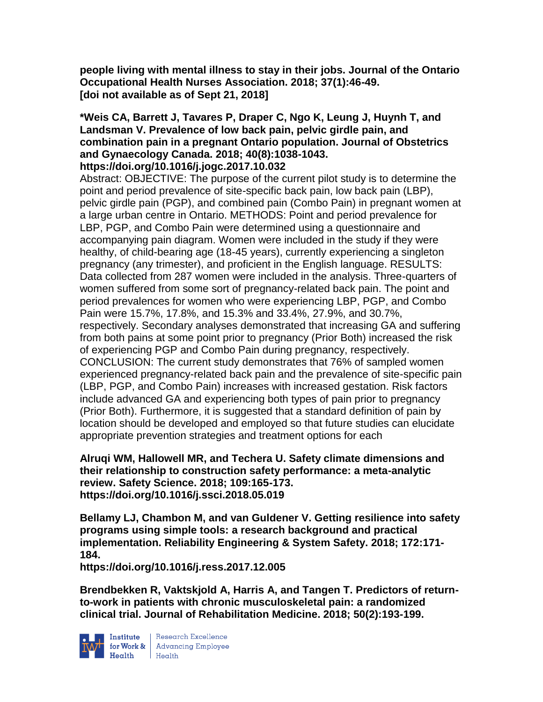**people living with mental illness to stay in their jobs. Journal of the Ontario Occupational Health Nurses Association. 2018; 37(1):46-49. [doi not available as of Sept 21, 2018]** 

# **\*Weis CA, Barrett J, Tavares P, Draper C, Ngo K, Leung J, Huynh T, and Landsman V. Prevalence of low back pain, pelvic girdle pain, and combination pain in a pregnant Ontario population. Journal of Obstetrics and Gynaecology Canada. 2018; 40(8):1038-1043.**

## **https://doi.org/10.1016/j.jogc.2017.10.032**

Abstract: OBJECTIVE: The purpose of the current pilot study is to determine the point and period prevalence of site-specific back pain, low back pain (LBP), pelvic girdle pain (PGP), and combined pain (Combo Pain) in pregnant women at a large urban centre in Ontario. METHODS: Point and period prevalence for LBP, PGP, and Combo Pain were determined using a questionnaire and accompanying pain diagram. Women were included in the study if they were healthy, of child-bearing age (18-45 years), currently experiencing a singleton pregnancy (any trimester), and proficient in the English language. RESULTS: Data collected from 287 women were included in the analysis. Three-quarters of women suffered from some sort of pregnancy-related back pain. The point and period prevalences for women who were experiencing LBP, PGP, and Combo Pain were 15.7%, 17.8%, and 15.3% and 33.4%, 27.9%, and 30.7%, respectively. Secondary analyses demonstrated that increasing GA and suffering from both pains at some point prior to pregnancy (Prior Both) increased the risk of experiencing PGP and Combo Pain during pregnancy, respectively. CONCLUSION: The current study demonstrates that 76% of sampled women experienced pregnancy-related back pain and the prevalence of site-specific pain (LBP, PGP, and Combo Pain) increases with increased gestation. Risk factors include advanced GA and experiencing both types of pain prior to pregnancy (Prior Both). Furthermore, it is suggested that a standard definition of pain by location should be developed and employed so that future studies can elucidate appropriate prevention strategies and treatment options for each

#### **Alruqi WM, Hallowell MR, and Techera U. Safety climate dimensions and their relationship to construction safety performance: a meta-analytic review. Safety Science. 2018; 109:165-173. https://doi.org/10.1016/j.ssci.2018.05.019**

**Bellamy LJ, Chambon M, and van Guldener V. Getting resilience into safety programs using simple tools: a research background and practical implementation. Reliability Engineering & System Safety. 2018; 172:171- 184.** 

**https://doi.org/10.1016/j.ress.2017.12.005** 

**Brendbekken R, Vaktskjold A, Harris A, and Tangen T. Predictors of returnto-work in patients with chronic musculoskeletal pain: a randomized clinical trial. Journal of Rehabilitation Medicine. 2018; 50(2):193-199.** 



Institute Research Excellence<br>for Work & Advancing Employee<br>Health Health Health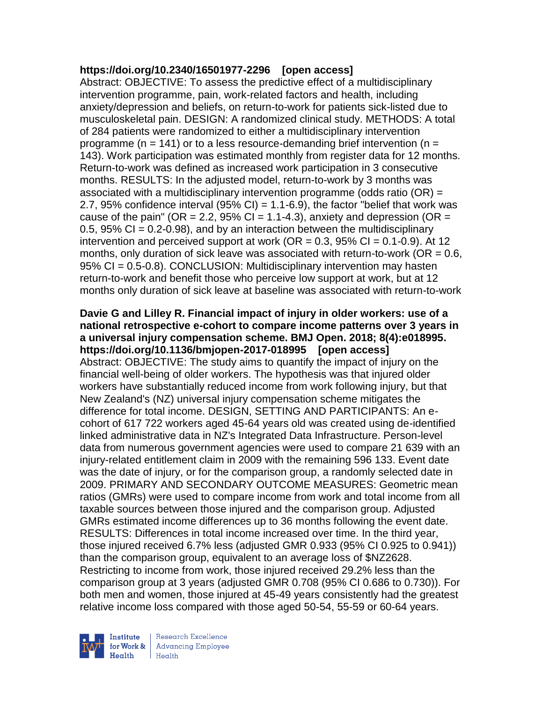#### **https://doi.org/10.2340/16501977-2296 [open access]**

Abstract: OBJECTIVE: To assess the predictive effect of a multidisciplinary intervention programme, pain, work-related factors and health, including anxiety/depression and beliefs, on return-to-work for patients sick-listed due to musculoskeletal pain. DESIGN: A randomized clinical study. METHODS: A total of 284 patients were randomized to either a multidisciplinary intervention programme ( $n = 141$ ) or to a less resource-demanding brief intervention ( $n =$ 143). Work participation was estimated monthly from register data for 12 months. Return-to-work was defined as increased work participation in 3 consecutive months. RESULTS: In the adjusted model, return-to-work by 3 months was associated with a multidisciplinary intervention programme (odds ratio  $(OR) =$ 2.7, 95% confidence interval (95% CI) =  $1.1-6.9$ ), the factor "belief that work was cause of the pain" (OR = 2.2, 95% CI = 1.1-4.3), anxiety and depression (OR = 0.5, 95% CI =  $0.2$ -0.98), and by an interaction between the multidisciplinary intervention and perceived support at work ( $OR = 0.3$ ,  $95\%$  CI = 0.1-0.9). At 12 months, only duration of sick leave was associated with return-to-work ( $OR = 0.6$ , 95% CI = 0.5-0.8). CONCLUSION: Multidisciplinary intervention may hasten return-to-work and benefit those who perceive low support at work, but at 12 months only duration of sick leave at baseline was associated with return-to-work

# **Davie G and Lilley R. Financial impact of injury in older workers: use of a national retrospective e-cohort to compare income patterns over 3 years in a universal injury compensation scheme. BMJ Open. 2018; 8(4):e018995. https://doi.org/10.1136/bmjopen-2017-018995 [open access]** Abstract: OBJECTIVE: The study aims to quantify the impact of injury on the financial well-being of older workers. The hypothesis was that injured older workers have substantially reduced income from work following injury, but that New Zealand's (NZ) universal injury compensation scheme mitigates the

difference for total income. DESIGN, SETTING AND PARTICIPANTS: An ecohort of 617 722 workers aged 45-64 years old was created using de-identified linked administrative data in NZ's Integrated Data Infrastructure. Person-level data from numerous government agencies were used to compare 21 639 with an injury-related entitlement claim in 2009 with the remaining 596 133. Event date was the date of injury, or for the comparison group, a randomly selected date in 2009. PRIMARY AND SECONDARY OUTCOME MEASURES: Geometric mean ratios (GMRs) were used to compare income from work and total income from all taxable sources between those injured and the comparison group. Adjusted GMRs estimated income differences up to 36 months following the event date. RESULTS: Differences in total income increased over time. In the third year, those injured received 6.7% less (adjusted GMR 0.933 (95% CI 0.925 to 0.941)) than the comparison group, equivalent to an average loss of \$NZ2628. Restricting to income from work, those injured received 29.2% less than the comparison group at 3 years (adjusted GMR 0.708 (95% CI 0.686 to 0.730)). For both men and women, those injured at 45-49 years consistently had the greatest relative income loss compared with those aged 50-54, 55-59 or 60-64 years.

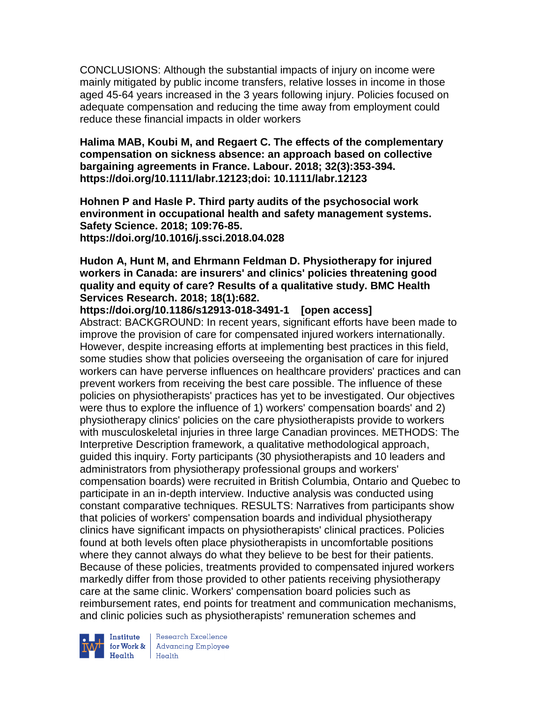CONCLUSIONS: Although the substantial impacts of injury on income were mainly mitigated by public income transfers, relative losses in income in those aged 45-64 years increased in the 3 years following injury. Policies focused on adequate compensation and reducing the time away from employment could reduce these financial impacts in older workers

**Halima MAB, Koubi M, and Regaert C. The effects of the complementary compensation on sickness absence: an approach based on collective bargaining agreements in France. Labour. 2018; 32(3):353-394. https://doi.org/10.1111/labr.12123;doi: 10.1111/labr.12123** 

**Hohnen P and Hasle P. Third party audits of the psychosocial work environment in occupational health and safety management systems. Safety Science. 2018; 109:76-85. https://doi.org/10.1016/j.ssci.2018.04.028** 

#### **Hudon A, Hunt M, and Ehrmann Feldman D. Physiotherapy for injured workers in Canada: are insurers' and clinics' policies threatening good quality and equity of care? Results of a qualitative study. BMC Health Services Research. 2018; 18(1):682.**

**https://doi.org/10.1186/s12913-018-3491-1 [open access]** Abstract: BACKGROUND: In recent years, significant efforts have been made to improve the provision of care for compensated injured workers internationally. However, despite increasing efforts at implementing best practices in this field, some studies show that policies overseeing the organisation of care for injured workers can have perverse influences on healthcare providers' practices and can prevent workers from receiving the best care possible. The influence of these policies on physiotherapists' practices has yet to be investigated. Our objectives were thus to explore the influence of 1) workers' compensation boards' and 2) physiotherapy clinics' policies on the care physiotherapists provide to workers with musculoskeletal injuries in three large Canadian provinces. METHODS: The Interpretive Description framework, a qualitative methodological approach, guided this inquiry. Forty participants (30 physiotherapists and 10 leaders and administrators from physiotherapy professional groups and workers' compensation boards) were recruited in British Columbia, Ontario and Quebec to participate in an in-depth interview. Inductive analysis was conducted using constant comparative techniques. RESULTS: Narratives from participants show that policies of workers' compensation boards and individual physiotherapy clinics have significant impacts on physiotherapists' clinical practices. Policies found at both levels often place physiotherapists in uncomfortable positions where they cannot always do what they believe to be best for their patients. Because of these policies, treatments provided to compensated injured workers markedly differ from those provided to other patients receiving physiotherapy care at the same clinic. Workers' compensation board policies such as reimbursement rates, end points for treatment and communication mechanisms, and clinic policies such as physiotherapists' remuneration schemes and



Institute Research Excellence<br>for Work & Advancing Employee<br>Health Health  $Heath$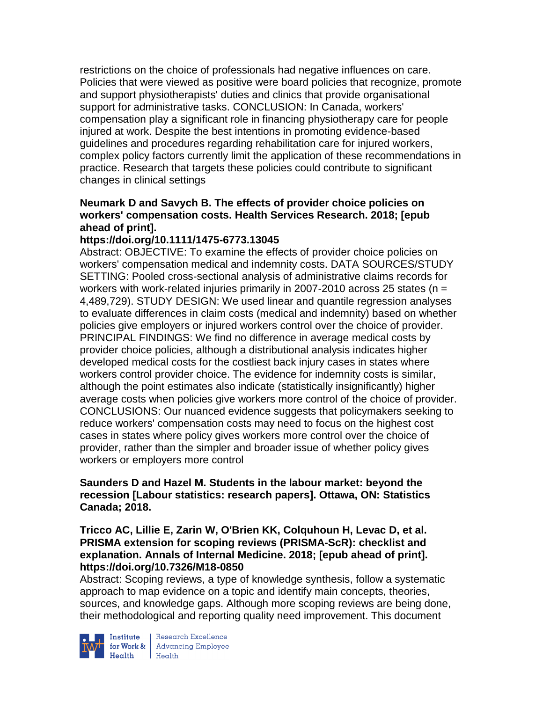restrictions on the choice of professionals had negative influences on care. Policies that were viewed as positive were board policies that recognize, promote and support physiotherapists' duties and clinics that provide organisational support for administrative tasks. CONCLUSION: In Canada, workers' compensation play a significant role in financing physiotherapy care for people injured at work. Despite the best intentions in promoting evidence-based guidelines and procedures regarding rehabilitation care for injured workers, complex policy factors currently limit the application of these recommendations in practice. Research that targets these policies could contribute to significant changes in clinical settings

## **Neumark D and Savych B. The effects of provider choice policies on workers' compensation costs. Health Services Research. 2018; [epub ahead of print].**

## **https://doi.org/10.1111/1475-6773.13045**

Abstract: OBJECTIVE: To examine the effects of provider choice policies on workers' compensation medical and indemnity costs. DATA SOURCES/STUDY SETTING: Pooled cross-sectional analysis of administrative claims records for workers with work-related injuries primarily in 2007-2010 across 25 states ( $n =$ 4,489,729). STUDY DESIGN: We used linear and quantile regression analyses to evaluate differences in claim costs (medical and indemnity) based on whether policies give employers or injured workers control over the choice of provider. PRINCIPAL FINDINGS: We find no difference in average medical costs by provider choice policies, although a distributional analysis indicates higher developed medical costs for the costliest back injury cases in states where workers control provider choice. The evidence for indemnity costs is similar, although the point estimates also indicate (statistically insignificantly) higher average costs when policies give workers more control of the choice of provider. CONCLUSIONS: Our nuanced evidence suggests that policymakers seeking to reduce workers' compensation costs may need to focus on the highest cost cases in states where policy gives workers more control over the choice of provider, rather than the simpler and broader issue of whether policy gives workers or employers more control

## **Saunders D and Hazel M. Students in the labour market: beyond the recession [Labour statistics: research papers]. Ottawa, ON: Statistics Canada; 2018.**

#### **Tricco AC, Lillie E, Zarin W, O'Brien KK, Colquhoun H, Levac D, et al. PRISMA extension for scoping reviews (PRISMA-ScR): checklist and explanation. Annals of Internal Medicine. 2018; [epub ahead of print]. https://doi.org/10.7326/M18-0850**

Abstract: Scoping reviews, a type of knowledge synthesis, follow a systematic approach to map evidence on a topic and identify main concepts, theories, sources, and knowledge gaps. Although more scoping reviews are being done, their methodological and reporting quality need improvement. This document



Institute Research Excellence<br>
for Work & Advancing Employee<br>
Health Health